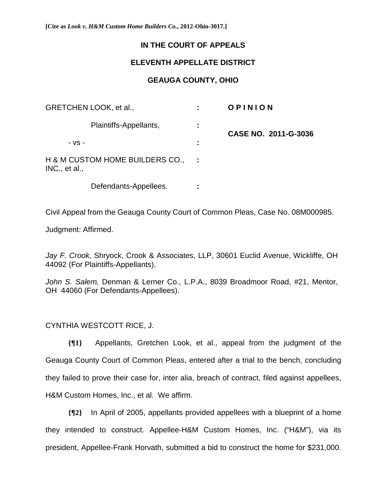**[Cite as** *Look v. H&M Custom Home Builders Co.***, 2012-Ohio-3017.]**

## **IN THE COURT OF APPEALS**

## **ELEVENTH APPELLATE DISTRICT**

## **GEAUGA COUNTY, OHIO**

| GRETCHEN LOOK, et al.,                           |   | OPINION              |
|--------------------------------------------------|---|----------------------|
| Plaintiffs-Appellants,                           | ÷ | CASE NO. 2011-G-3036 |
| $-VS -$                                          | ÷ |                      |
| H & M CUSTOM HOME BUILDERS CO.,<br>INC., et al., |   |                      |
| Defendants-Appellees.                            |   |                      |

Civil Appeal from the Geauga County Court of Common Pleas, Case No. 08M000985.

Judgment: Affirmed.

*Jay F. Crook,* Shryock, Crook & Associates, LLP, 30601 Euclid Avenue, Wickliffe, OH 44092 (For Plaintiffs-Appellants).

*John S. Salem,* Denman & Lerner Co., L.P.A., 8039 Broadmoor Road, #21, Mentor, OH 44060 (For Defendants-Appellees).

## CYNTHIA WESTCOTT RICE, J.

**{¶1}** Appellants, Gretchen Look, et al., appeal from the judgment of the Geauga County Court of Common Pleas, entered after a trial to the bench, concluding they failed to prove their case for, inter alia, breach of contract, filed against appellees, H&M Custom Homes, Inc., et al. We affirm.

**{¶2}** In April of 2005, appellants provided appellees with a blueprint of a home they intended to construct. Appellee-H&M Custom Homes, Inc. ("H&M"), via its president, Appellee-Frank Horvath, submitted a bid to construct the home for \$231,000.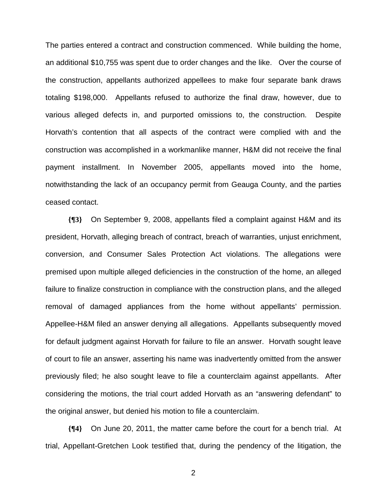The parties entered a contract and construction commenced. While building the home, an additional \$10,755 was spent due to order changes and the like. Over the course of the construction, appellants authorized appellees to make four separate bank draws totaling \$198,000. Appellants refused to authorize the final draw, however, due to various alleged defects in, and purported omissions to, the construction. Despite Horvath's contention that all aspects of the contract were complied with and the construction was accomplished in a workmanlike manner, H&M did not receive the final payment installment. In November 2005, appellants moved into the home, notwithstanding the lack of an occupancy permit from Geauga County, and the parties ceased contact.

**{¶3}** On September 9, 2008, appellants filed a complaint against H&M and its president, Horvath, alleging breach of contract, breach of warranties, unjust enrichment, conversion, and Consumer Sales Protection Act violations. The allegations were premised upon multiple alleged deficiencies in the construction of the home, an alleged failure to finalize construction in compliance with the construction plans, and the alleged removal of damaged appliances from the home without appellants' permission. Appellee-H&M filed an answer denying all allegations. Appellants subsequently moved for default judgment against Horvath for failure to file an answer. Horvath sought leave of court to file an answer, asserting his name was inadvertently omitted from the answer previously filed; he also sought leave to file a counterclaim against appellants. After considering the motions, the trial court added Horvath as an "answering defendant" to the original answer, but denied his motion to file a counterclaim.

**{¶4}** On June 20, 2011, the matter came before the court for a bench trial. At trial, Appellant-Gretchen Look testified that, during the pendency of the litigation, the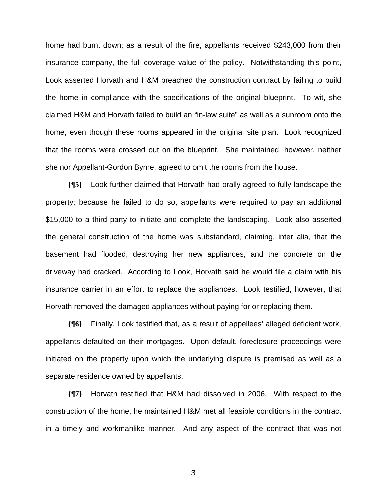home had burnt down; as a result of the fire, appellants received \$243,000 from their insurance company, the full coverage value of the policy. Notwithstanding this point, Look asserted Horvath and H&M breached the construction contract by failing to build the home in compliance with the specifications of the original blueprint. To wit, she claimed H&M and Horvath failed to build an "in-law suite" as well as a sunroom onto the home, even though these rooms appeared in the original site plan. Look recognized that the rooms were crossed out on the blueprint. She maintained, however, neither she nor Appellant-Gordon Byrne, agreed to omit the rooms from the house.

**{¶5}** Look further claimed that Horvath had orally agreed to fully landscape the property; because he failed to do so, appellants were required to pay an additional \$15,000 to a third party to initiate and complete the landscaping. Look also asserted the general construction of the home was substandard, claiming, inter alia, that the basement had flooded, destroying her new appliances, and the concrete on the driveway had cracked. According to Look, Horvath said he would file a claim with his insurance carrier in an effort to replace the appliances. Look testified, however, that Horvath removed the damaged appliances without paying for or replacing them.

**{¶6}** Finally, Look testified that, as a result of appellees' alleged deficient work, appellants defaulted on their mortgages. Upon default, foreclosure proceedings were initiated on the property upon which the underlying dispute is premised as well as a separate residence owned by appellants.

**{¶7}** Horvath testified that H&M had dissolved in 2006. With respect to the construction of the home, he maintained H&M met all feasible conditions in the contract in a timely and workmanlike manner. And any aspect of the contract that was not

 $\sim$  3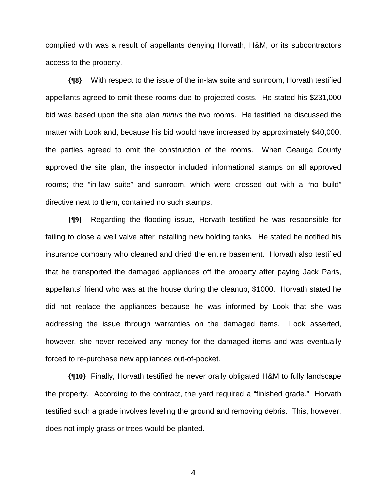complied with was a result of appellants denying Horvath, H&M, or its subcontractors access to the property.

**{¶8}** With respect to the issue of the in-law suite and sunroom, Horvath testified appellants agreed to omit these rooms due to projected costs. He stated his \$231,000 bid was based upon the site plan *minus* the two rooms. He testified he discussed the matter with Look and, because his bid would have increased by approximately \$40,000, the parties agreed to omit the construction of the rooms. When Geauga County approved the site plan, the inspector included informational stamps on all approved rooms; the "in-law suite" and sunroom, which were crossed out with a "no build" directive next to them, contained no such stamps.

**{¶9}** Regarding the flooding issue, Horvath testified he was responsible for failing to close a well valve after installing new holding tanks. He stated he notified his insurance company who cleaned and dried the entire basement. Horvath also testified that he transported the damaged appliances off the property after paying Jack Paris, appellants' friend who was at the house during the cleanup, \$1000. Horvath stated he did not replace the appliances because he was informed by Look that she was addressing the issue through warranties on the damaged items. Look asserted, however, she never received any money for the damaged items and was eventually forced to re-purchase new appliances out-of-pocket.

**{¶10}** Finally, Horvath testified he never orally obligated H&M to fully landscape the property. According to the contract, the yard required a "finished grade." Horvath testified such a grade involves leveling the ground and removing debris. This, however, does not imply grass or trees would be planted.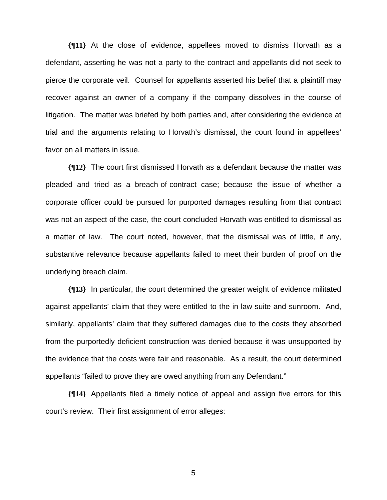**{¶11}** At the close of evidence, appellees moved to dismiss Horvath as a defendant, asserting he was not a party to the contract and appellants did not seek to pierce the corporate veil. Counsel for appellants asserted his belief that a plaintiff may recover against an owner of a company if the company dissolves in the course of litigation. The matter was briefed by both parties and, after considering the evidence at trial and the arguments relating to Horvath's dismissal, the court found in appellees' favor on all matters in issue.

**{¶12}** The court first dismissed Horvath as a defendant because the matter was pleaded and tried as a breach-of-contract case; because the issue of whether a corporate officer could be pursued for purported damages resulting from that contract was not an aspect of the case, the court concluded Horvath was entitled to dismissal as a matter of law. The court noted, however, that the dismissal was of little, if any, substantive relevance because appellants failed to meet their burden of proof on the underlying breach claim.

**{¶13}** In particular, the court determined the greater weight of evidence militated against appellants' claim that they were entitled to the in-law suite and sunroom. And, similarly, appellants' claim that they suffered damages due to the costs they absorbed from the purportedly deficient construction was denied because it was unsupported by the evidence that the costs were fair and reasonable. As a result, the court determined appellants "failed to prove they are owed anything from any Defendant."

**{¶14}** Appellants filed a timely notice of appeal and assign five errors for this court's review. Their first assignment of error alleges:

 $\sim$  5  $\sim$  5  $\sim$  5  $\sim$  5  $\sim$  5  $\sim$  5  $\sim$  5  $\sim$  5  $\sim$  5  $\sim$  5  $\sim$  5  $\sim$  5  $\sim$  5  $\sim$  5  $\sim$  5  $\sim$  5  $\sim$  5  $\sim$  5  $\sim$  5  $\sim$  5  $\sim$  5  $\sim$  5  $\sim$  5  $\sim$  5  $\sim$  5  $\sim$  5  $\sim$  5  $\sim$  5  $\sim$  5  $\sim$  5  $\sim$  5  $\sim$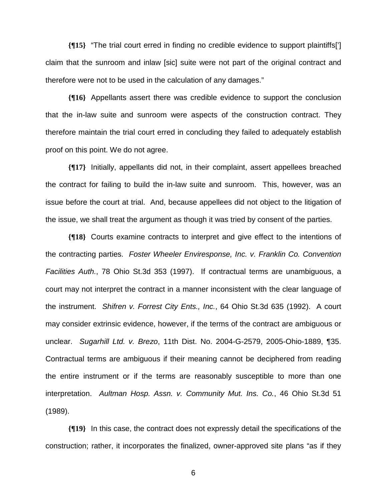**{¶15}** "The trial court erred in finding no credible evidence to support plaintiffs['] claim that the sunroom and inlaw [sic] suite were not part of the original contract and therefore were not to be used in the calculation of any damages."

**{¶16}** Appellants assert there was credible evidence to support the conclusion that the in-law suite and sunroom were aspects of the construction contract. They therefore maintain the trial court erred in concluding they failed to adequately establish proof on this point. We do not agree.

**{¶17}** Initially, appellants did not, in their complaint, assert appellees breached the contract for failing to build the in-law suite and sunroom. This, however, was an issue before the court at trial. And, because appellees did not object to the litigation of the issue, we shall treat the argument as though it was tried by consent of the parties.

**{¶18}** Courts examine contracts to interpret and give effect to the intentions of the contracting parties. *Foster Wheeler Enviresponse, Inc. v. Franklin Co. Convention Facilities Auth.*, 78 Ohio St.3d 353 (1997). If contractual terms are unambiguous, a court may not interpret the contract in a manner inconsistent with the clear language of the instrument. *Shifren v. Forrest City Ents., Inc.*, 64 Ohio St.3d 635 (1992). A court may consider extrinsic evidence, however, if the terms of the contract are ambiguous or unclear. *Sugarhill Ltd. v. Brezo*, 11th Dist. No. 2004-G-2579, 2005-Ohio-1889, ¶35. Contractual terms are ambiguous if their meaning cannot be deciphered from reading the entire instrument or if the terms are reasonably susceptible to more than one interpretation. *Aultman Hosp. Assn. v. Community Mut. Ins. Co.*, 46 Ohio St.3d 51 (1989).

**{¶19}** In this case, the contract does not expressly detail the specifications of the construction; rather, it incorporates the finalized, owner-approved site plans "as if they

 $\sim$  600  $\sim$  600  $\sim$  600  $\sim$  600  $\sim$  600  $\sim$  600  $\sim$  600  $\sim$  600  $\sim$  600  $\sim$  600  $\sim$  600  $\sim$  600  $\sim$  600  $\sim$  600  $\sim$  600  $\sim$  600  $\sim$  600  $\sim$  600  $\sim$  600  $\sim$  600  $\sim$  600  $\sim$  600  $\sim$  600  $\sim$  600  $\sim$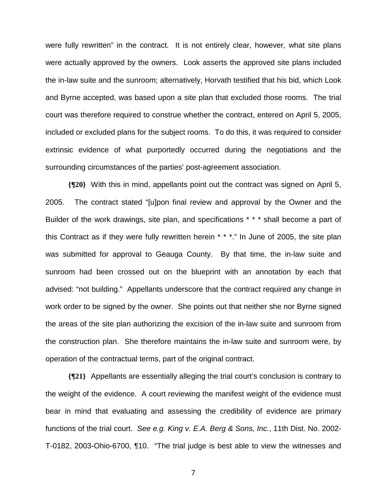were fully rewritten" in the contract. It is not entirely clear, however, what site plans were actually approved by the owners. Look asserts the approved site plans included the in-law suite and the sunroom; alternatively, Horvath testified that his bid, which Look and Byrne accepted, was based upon a site plan that excluded those rooms. The trial court was therefore required to construe whether the contract, entered on April 5, 2005, included or excluded plans for the subject rooms. To do this, it was required to consider extrinsic evidence of what purportedly occurred during the negotiations and the surrounding circumstances of the parties' post-agreement association.

**{¶20}** With this in mind, appellants point out the contract was signed on April 5, 2005. The contract stated "[u]pon final review and approval by the Owner and the Builder of the work drawings, site plan, and specifications \* \* \* shall become a part of this Contract as if they were fully rewritten herein \* \* \*." In June of 2005, the site plan was submitted for approval to Geauga County. By that time, the in-law suite and sunroom had been crossed out on the blueprint with an annotation by each that advised: "not building." Appellants underscore that the contract required any change in work order to be signed by the owner. She points out that neither she nor Byrne signed the areas of the site plan authorizing the excision of the in-law suite and sunroom from the construction plan. She therefore maintains the in-law suite and sunroom were, by operation of the contractual terms, part of the original contract.

**{¶21}** Appellants are essentially alleging the trial court's conclusion is contrary to the weight of the evidence. A court reviewing the manifest weight of the evidence must bear in mind that evaluating and assessing the credibility of evidence are primary functions of the trial court. *See e.g. King v. E.A. Berg & Sons, Inc.*, 11th Dist. No. 2002- T-0182, 2003-Ohio-6700, ¶10. "The trial judge is best able to view the witnesses and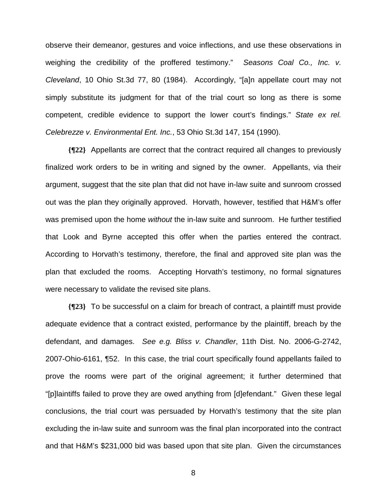observe their demeanor, gestures and voice inflections, and use these observations in weighing the credibility of the proffered testimony." *Seasons Coal Co., Inc. v. Cleveland*, 10 Ohio St.3d 77, 80 (1984). Accordingly, "[a]n appellate court may not simply substitute its judgment for that of the trial court so long as there is some competent, credible evidence to support the lower court's findings." *State ex rel. Celebrezze v. Environmental Ent. Inc.*, 53 Ohio St.3d 147, 154 (1990).

**{¶22}** Appellants are correct that the contract required all changes to previously finalized work orders to be in writing and signed by the owner. Appellants, via their argument, suggest that the site plan that did not have in-law suite and sunroom crossed out was the plan they originally approved. Horvath, however, testified that H&M's offer was premised upon the home *without* the in-law suite and sunroom. He further testified that Look and Byrne accepted this offer when the parties entered the contract. According to Horvath's testimony, therefore, the final and approved site plan was the plan that excluded the rooms. Accepting Horvath's testimony, no formal signatures were necessary to validate the revised site plans.

**{¶23}** To be successful on a claim for breach of contract, a plaintiff must provide adequate evidence that a contract existed, performance by the plaintiff, breach by the defendant, and damages. *See e.g. Bliss v. Chandler*, 11th Dist. No. 2006-G-2742, 2007-Ohio-6161, ¶52. In this case, the trial court specifically found appellants failed to prove the rooms were part of the original agreement; it further determined that "[p]laintiffs failed to prove they are owed anything from [d]efendant." Given these legal conclusions, the trial court was persuaded by Horvath's testimony that the site plan excluding the in-law suite and sunroom was the final plan incorporated into the contract and that H&M's \$231,000 bid was based upon that site plan. Given the circumstances

en andere de la provincia de la provincia de la provincia de la provincia de la provincia de la provincia del<br>En 1888, en 1888, en 1888, en 1888, en 1888, en 1888, en 1888, en 1888, en 1888, en 1888, en 1888, en 1888, en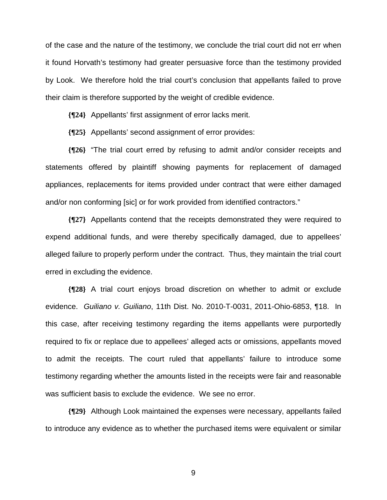of the case and the nature of the testimony, we conclude the trial court did not err when it found Horvath's testimony had greater persuasive force than the testimony provided by Look. We therefore hold the trial court's conclusion that appellants failed to prove their claim is therefore supported by the weight of credible evidence.

**{¶24}** Appellants' first assignment of error lacks merit.

**{¶25}** Appellants' second assignment of error provides:

**{¶26}** "The trial court erred by refusing to admit and/or consider receipts and statements offered by plaintiff showing payments for replacement of damaged appliances, replacements for items provided under contract that were either damaged and/or non conforming [sic] or for work provided from identified contractors."

**{¶27}** Appellants contend that the receipts demonstrated they were required to expend additional funds, and were thereby specifically damaged, due to appellees' alleged failure to properly perform under the contract. Thus, they maintain the trial court erred in excluding the evidence.

**{¶28}** A trial court enjoys broad discretion on whether to admit or exclude evidence. *Guiliano v. Guiliano*, 11th Dist. No. 2010-T-0031, 2011-Ohio-6853, ¶18. In this case, after receiving testimony regarding the items appellants were purportedly required to fix or replace due to appellees' alleged acts or omissions, appellants moved to admit the receipts. The court ruled that appellants' failure to introduce some testimony regarding whether the amounts listed in the receipts were fair and reasonable was sufficient basis to exclude the evidence. We see no error.

**{¶29}** Although Look maintained the expenses were necessary, appellants failed to introduce any evidence as to whether the purchased items were equivalent or similar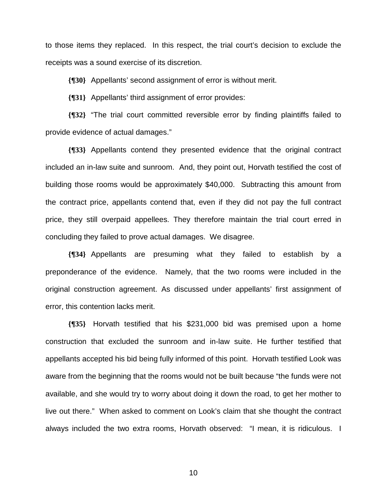to those items they replaced. In this respect, the trial court's decision to exclude the receipts was a sound exercise of its discretion.

**{¶30}** Appellants' second assignment of error is without merit.

**{¶31}** Appellants' third assignment of error provides:

**{¶32}** "The trial court committed reversible error by finding plaintiffs failed to provide evidence of actual damages."

**{¶33}** Appellants contend they presented evidence that the original contract included an in-law suite and sunroom. And, they point out, Horvath testified the cost of building those rooms would be approximately \$40,000. Subtracting this amount from the contract price, appellants contend that, even if they did not pay the full contract price, they still overpaid appellees. They therefore maintain the trial court erred in concluding they failed to prove actual damages. We disagree.

**{¶34}** Appellants are presuming what they failed to establish by a preponderance of the evidence. Namely, that the two rooms were included in the original construction agreement. As discussed under appellants' first assignment of error, this contention lacks merit.

**{¶35}** Horvath testified that his \$231,000 bid was premised upon a home construction that excluded the sunroom and in-law suite. He further testified that appellants accepted his bid being fully informed of this point. Horvath testified Look was aware from the beginning that the rooms would not be built because "the funds were not available, and she would try to worry about doing it down the road, to get her mother to live out there." When asked to comment on Look's claim that she thought the contract always included the two extra rooms, Horvath observed: "I mean, it is ridiculous. I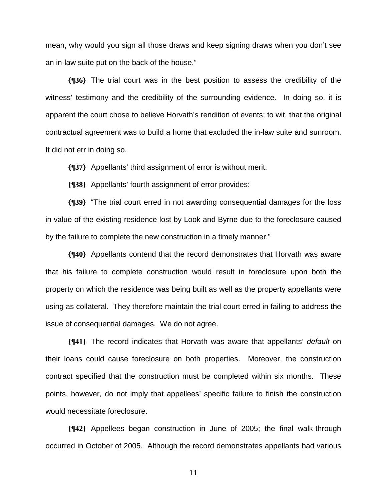mean, why would you sign all those draws and keep signing draws when you don't see an in-law suite put on the back of the house."

**{¶36}** The trial court was in the best position to assess the credibility of the witness' testimony and the credibility of the surrounding evidence. In doing so, it is apparent the court chose to believe Horvath's rendition of events; to wit, that the original contractual agreement was to build a home that excluded the in-law suite and sunroom. It did not err in doing so.

**{¶37}** Appellants' third assignment of error is without merit.

**{¶38}** Appellants' fourth assignment of error provides:

**{¶39}** "The trial court erred in not awarding consequential damages for the loss in value of the existing residence lost by Look and Byrne due to the foreclosure caused by the failure to complete the new construction in a timely manner."

**{¶40}** Appellants contend that the record demonstrates that Horvath was aware that his failure to complete construction would result in foreclosure upon both the property on which the residence was being built as well as the property appellants were using as collateral. They therefore maintain the trial court erred in failing to address the issue of consequential damages. We do not agree.

**{¶41}** The record indicates that Horvath was aware that appellants' *default* on their loans could cause foreclosure on both properties. Moreover, the construction contract specified that the construction must be completed within six months. These points, however, do not imply that appellees' specific failure to finish the construction would necessitate foreclosure.

**{¶42}** Appellees began construction in June of 2005; the final walk-through occurred in October of 2005. Although the record demonstrates appellants had various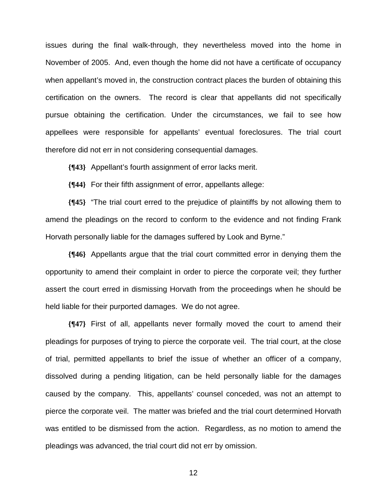issues during the final walk-through, they nevertheless moved into the home in November of 2005. And, even though the home did not have a certificate of occupancy when appellant's moved in, the construction contract places the burden of obtaining this certification on the owners. The record is clear that appellants did not specifically pursue obtaining the certification. Under the circumstances, we fail to see how appellees were responsible for appellants' eventual foreclosures. The trial court therefore did not err in not considering consequential damages.

**{¶43}** Appellant's fourth assignment of error lacks merit.

**{¶44}** For their fifth assignment of error, appellants allege:

**{¶45}** "The trial court erred to the prejudice of plaintiffs by not allowing them to amend the pleadings on the record to conform to the evidence and not finding Frank Horvath personally liable for the damages suffered by Look and Byrne."

**{¶46}** Appellants argue that the trial court committed error in denying them the opportunity to amend their complaint in order to pierce the corporate veil; they further assert the court erred in dismissing Horvath from the proceedings when he should be held liable for their purported damages. We do not agree.

**{¶47}** First of all, appellants never formally moved the court to amend their pleadings for purposes of trying to pierce the corporate veil. The trial court, at the close of trial, permitted appellants to brief the issue of whether an officer of a company, dissolved during a pending litigation, can be held personally liable for the damages caused by the company. This, appellants' counsel conceded, was not an attempt to pierce the corporate veil. The matter was briefed and the trial court determined Horvath was entitled to be dismissed from the action. Regardless, as no motion to amend the pleadings was advanced, the trial court did not err by omission.